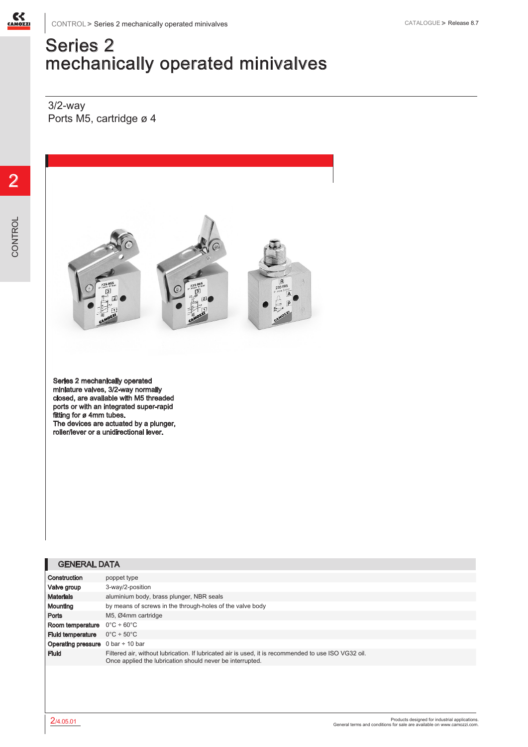

## Series 2 mechanically operated minivalves

3/2-way Ports M5, cartridge ø 4



Series 2 mechanically operated miniature valves, 3/2-way normally closed, are available with M5 threaded ports or with an integrated super-rapid fitting for ø 4mm tubes. The devices are actuated by a plunger, roller/lever or a unidirectional lever.

| Construction                                                  | poppet type                                                                                                                                                       |
|---------------------------------------------------------------|-------------------------------------------------------------------------------------------------------------------------------------------------------------------|
| Valve group                                                   | 3-way/2-position                                                                                                                                                  |
| <b>Materials</b>                                              | aluminium body, brass plunger, NBR seals                                                                                                                          |
| Mounting                                                      | by means of screws in the through-holes of the valve body                                                                                                         |
| Ports                                                         | M5. Ø4mm cartridge                                                                                                                                                |
| Room temperature                                              | $0^\circ \text{C} \div 60^\circ \text{C}$                                                                                                                         |
| <b>Fluid temperature</b>                                      | $0^{\circ}$ C ÷ 50 $^{\circ}$ C                                                                                                                                   |
| <b>Operating pressure</b> $0 \text{ bar} \div 10 \text{ bar}$ |                                                                                                                                                                   |
| <b>Fluid</b>                                                  | Filtered air, without lubrication. If lubricated air is used, it is recommended to use ISO VG32 oil.<br>Once applied the lubrication should never be interrupted. |
|                                                               |                                                                                                                                                                   |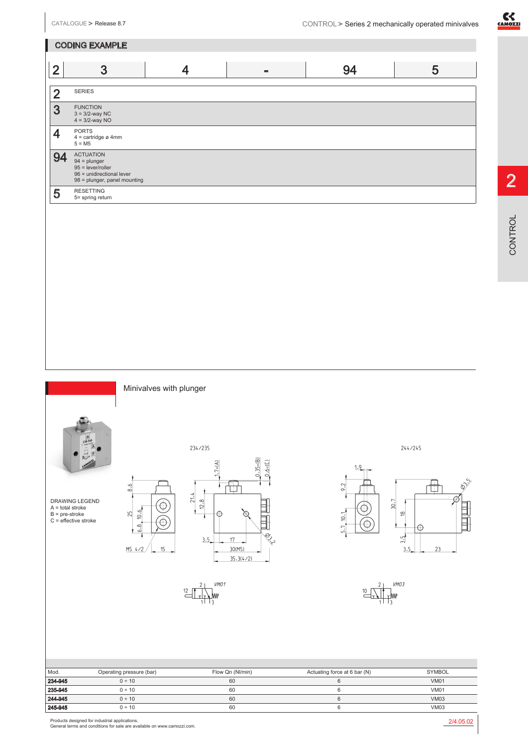CODING EXAMPLE

2 SERIES

**3** FUNCTION<br> $3 = 3/2$ -way NC<br> $4 = 3/2$ -way NO

 $5$  RESETTING<br>5= spring return

 $4 = \text{cartidge } \varnothing 4 \text{mm}$ <br>  $5 = \text{M5}$ 

**94**  $\underset{95}{\text{ACTUATION}}$ <br>  $\underset{95}{\text{94}}$  = lever/roller<br>  $\underset{98}{\text{96}}$  = unidirectional lever<br>  $\underset{98}{\text{98}}$  = plunger, panel mounting



2



 $-8.6$ 

25

۱

 $M5, 4/2$ 

 $6.8, 10.6$ 

DRAWING LEGEND A = total stroke B = pre-stroke C = effective stroke

Minivalves with plunger

234/235



2 3 4 - 94 5

## V<sub>MO1</sub>

 $244/245$ 





| Mod.    | Operating pressure (bar) | Flow Qn (Nl/min) | Actuating force at 6 bar (N) | <b>SYMBOL</b> |
|---------|--------------------------|------------------|------------------------------|---------------|
| 234-945 | 0 ÷ 10                   | 60               |                              | <b>VM01</b>   |
| 235-945 | 0 ÷ 10                   | 60               |                              | <b>VM01</b>   |
| 244-945 | 0 ÷ 10                   | 60               |                              | <b>VM03</b>   |
| 245-945 | 0 ÷ 10                   | 60               |                              | VM03          |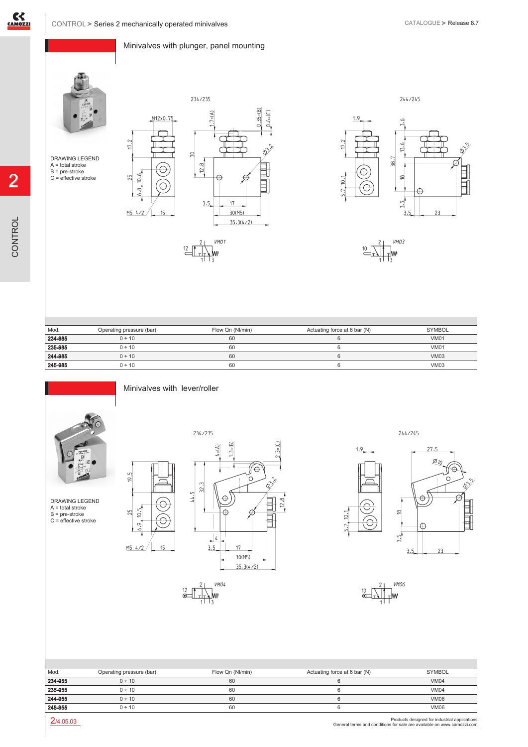$10.6$ 25

 $6.8.$ 

2



DRAWING LEGEND A = total stroke B = pre-stroke C = effective stroke



 $\frac{12}{1}$ haa



VMO3 ١w

| Mod.    | Operating pressure (bar) | Flow Qn (Nl/min) | Actuating force at 6 bar (N) | SYMBOL      |
|---------|--------------------------|------------------|------------------------------|-------------|
| 234-985 | 0 ÷ 10                   | 60               |                              | <b>VM01</b> |
| 235-985 | 0 ÷ 10                   | 60               |                              | <b>VM01</b> |
| 244-985 | $0 \div 10$              | 60               |                              | <b>VM03</b> |
| 245-985 | 0 ÷ 10                   | 60               |                              | <b>VM03</b> |

 $2.3=(0)$ 

 $12.8$ 

 $\frac{1}{\hat{\mathcal{S}}^{\mathcal{Y}}}$ 

目

(∕o

 $\circ$ 



19.5

 $10.5$ 25

 $6.9.$ 

DRAWING LEGEND A = total stroke B = pre-stroke C = effective stroke

Minivalves with lever/roller

 $1.3=(8)$  $A = (A)$  $32.3$ 44.5 Ċ Ć Ċ  $\overline{\mathbb{C}}$  $\frac{1}{4}$  $M5$  4/2  $15$  $3.5$  $17$ 30(M5)  $35.3(4/2)$ 

234/235

**VMO4**  $\frac{12}{9}$ 

244/245



VM06  $\frac{10}{9}$ 

| Mod.    | Operating pressure (bar) | Flow Qn (Nl/min) | Actuating force at 6 bar (N) | <b>SYMBOL</b> |
|---------|--------------------------|------------------|------------------------------|---------------|
| 234-955 | 0 ÷ 10                   | 60               |                              | <b>VM04</b>   |
| 235-955 | 0 ÷ 10                   | 60               |                              | <b>VM04</b>   |
| 244-955 | 0 ÷ 10                   | 60               |                              | <b>VM06</b>   |
| 245-955 | 0 ÷ 10                   | 60               |                              | <b>VM06</b>   |